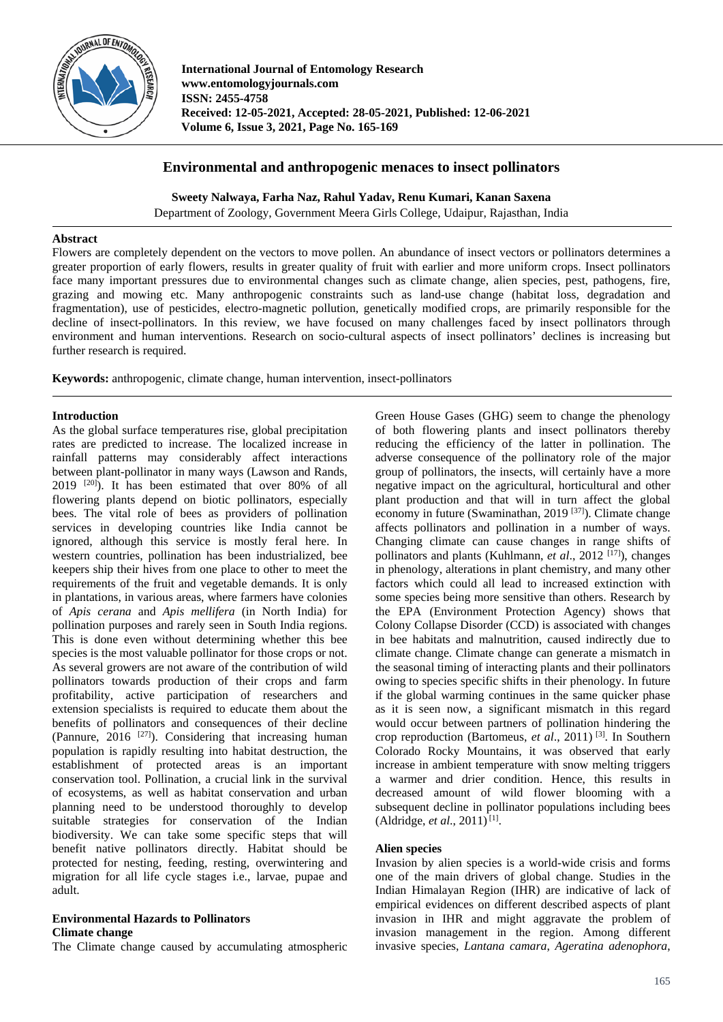

**International Journal of Entomology Research www.entomologyjournals.com ISSN: 2455-4758 Received: 12-05-2021, Accepted: 28-05-2021, Published: 12-06-2021 Volume 6, Issue 3, 2021, Page No. 165-169**

# **Environmental and anthropogenic menaces to insect pollinators**

**Sweety Nalwaya, Farha Naz, Rahul Yadav, Renu Kumari, Kanan Saxena**

Department of Zoology, Government Meera Girls College, Udaipur, Rajasthan, India

### **Abstract**

Flowers are completely dependent on the vectors to move pollen. An abundance of insect vectors or pollinators determines a greater proportion of early flowers, results in greater quality of fruit with earlier and more uniform crops. Insect pollinators face many important pressures due to environmental changes such as climate change, alien species, pest, pathogens, fire, grazing and mowing etc. Many anthropogenic constraints such as land-use change (habitat loss, degradation and fragmentation), use of pesticides, electro-magnetic pollution, genetically modified crops, are primarily responsible for the decline of insect-pollinators. In this review, we have focused on many challenges faced by insect pollinators through environment and human interventions. Research on socio-cultural aspects of insect pollinators' declines is increasing but further research is required.

**Keywords:** anthropogenic, climate change, human intervention, insect-pollinators

### **Introduction**

As the global surface temperatures rise, global precipitation rates are predicted to increase. The localized increase in rainfall patterns may considerably affect interactions between plant-pollinator in many ways (Lawson and Rands, 2019 [20]). It has been estimated that over 80% of all flowering plants depend on biotic pollinators, especially bees. The vital role of bees as providers of pollination services in developing countries like India cannot be ignored, although this service is mostly feral here. In western countries, pollination has been industrialized, bee keepers ship their hives from one place to other to meet the requirements of the fruit and vegetable demands. It is only in plantations, in various areas, where farmers have colonies of *Apis cerana* and *Apis mellifera* (in North India) for pollination purposes and rarely seen in South India regions. This is done even without determining whether this bee species is the most valuable pollinator for those crops or not. As several growers are not aware of the contribution of wild pollinators towards production of their crops and farm profitability, active participation of researchers and extension specialists is required to educate them about the benefits of pollinators and consequences of their decline (Pannure,  $2016$ <sup>[27]</sup>). Considering that increasing human population is rapidly resulting into habitat destruction, the establishment of protected areas is an important conservation tool. Pollination, a crucial link in the survival of ecosystems, as well as habitat conservation and urban planning need to be understood thoroughly to develop suitable strategies for conservation of the Indian biodiversity. We can take some specific steps that will benefit native pollinators directly. Habitat should be protected for nesting, feeding, resting, overwintering and migration for all life cycle stages i.e., larvae, pupae and adult.

#### **Environmental Hazards to Pollinators Climate change**

The Climate change caused by accumulating atmospheric

Green House Gases (GHG) seem to change the phenology of both flowering plants and insect pollinators thereby reducing the efficiency of the latter in pollination. The adverse consequence of the pollinatory role of the major group of pollinators, the insects, will certainly have a more negative impact on the agricultural, horticultural and other plant production and that will in turn affect the global economy in future (Swaminathan, 2019<sup>[37]</sup>). Climate change affects pollinators and pollination in a number of ways. Changing climate can cause changes in range shifts of pollinators and plants (Kuhlmann, *et al.*, 2012<sup>[17]</sup>), changes in phenology, alterations in plant chemistry, and many other factors which could all lead to increased extinction with some species being more sensitive than others. Research by the EPA (Environment Protection Agency) shows that Colony Collapse Disorder (CCD) is associated with changes in bee habitats and malnutrition, caused indirectly due to climate change. Climate change can generate a mismatch in the seasonal timing of interacting plants and their pollinators owing to species specific shifts in their phenology. In future if the global warming continues in the same quicker phase as it is seen now, a significant mismatch in this regard would occur between partners of pollination hindering the crop reproduction (Bartomeus, *et al*., 2011) [3]. In Southern Colorado Rocky Mountains, it was observed that early increase in ambient temperature with snow melting triggers a warmer and drier condition. Hence, this results in decreased amount of wild flower blooming with a subsequent decline in pollinator populations including bees  $(Aldridge, et al., 2011)^{[1]}$ .

# **Alien species**

Invasion by alien species is a world-wide crisis and forms one of the main drivers of global change. Studies in the Indian Himalayan Region (IHR) are indicative of lack of empirical evidences on different described aspects of plant invasion in IHR and might aggravate the problem of invasion management in the region. Among different invasive species, *Lantana camara*, *Ageratina adenophora*,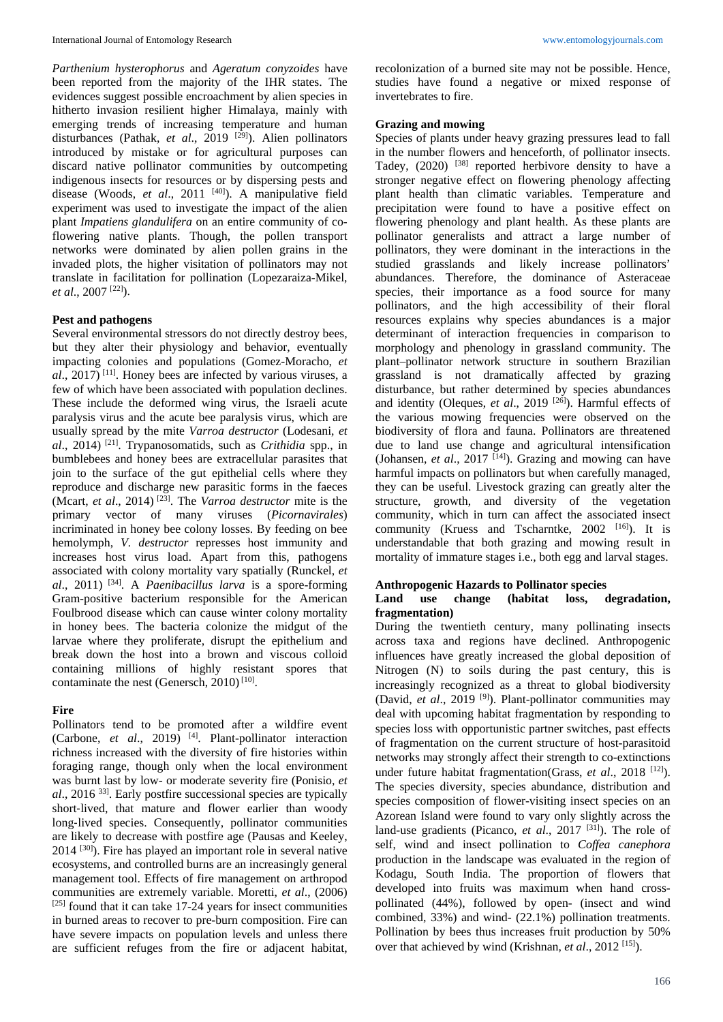*Parthenium hysterophorus* and *Ageratum conyzoides* have been reported from the majority of the IHR states. The evidences suggest possible encroachment by alien species in hitherto invasion resilient higher Himalaya, mainly with emerging trends of increasing temperature and human disturbances (Pathak, *et al.*, 2019<sup>[29]</sup>). Alien pollinators introduced by mistake or for agricultural purposes can discard native pollinator communities by outcompeting indigenous insects for resources or by dispersing pests and disease (Woods, et al., 2011<sup>[40]</sup>). A manipulative field experiment was used to investigate the impact of the alien plant *Impatiens glandulifera* on an entire community of coflowering native plants. Though, the pollen transport networks were dominated by alien pollen grains in the invaded plots, the higher visitation of pollinators may not translate in facilitation for pollination (Lopezaraiza-Mikel, *et al*., 2007 [22]).

## **Pest and pathogens**

Several environmental stressors do not directly destroy bees, but they alter their physiology and behavior, eventually impacting colonies and populations (Gomez-Moracho, *et al*., 2017) [11]. Honey bees are infected by various viruses, a few of which have been associated with population declines. These include the deformed wing virus, the Israeli acute paralysis virus and the acute bee paralysis virus, which are usually spread by the mite *Varroa destructor* (Lodesani, *et al*., 2014) [21]. Trypanosomatids, such as *Crithidia* spp., in bumblebees and honey bees are extracellular parasites that join to the surface of the gut epithelial cells where they reproduce and discharge new parasitic forms in the faeces (Mcart, *et al*., 2014) [23]. The *Varroa destructor* mite is the primary vector of many viruses (*Picornavirales*) incriminated in honey bee colony losses. By feeding on bee hemolymph, *V. destructor* represses host immunity and increases host virus load. Apart from this, pathogens associated with colony mortality vary spatially (Runckel, *et al*., 2011) [34]. A *Paenibacillus larva* is a spore-forming Gram-positive bacterium responsible for the American Foulbrood disease which can cause winter colony mortality in honey bees. The bacteria colonize the midgut of the larvae where they proliferate, disrupt the epithelium and break down the host into a brown and viscous colloid containing millions of highly resistant spores that contaminate the nest (Genersch,  $2010$ <sup>[10]</sup>.

## **Fire**

Pollinators tend to be promoted after a wildfire event (Carbone, *et al.*, 2019)<sup>[4]</sup>. Plant-pollinator interaction richness increased with the diversity of fire histories within foraging range, though only when the local environment was burnt last by low- or moderate severity fire (Ponisio, *et al*., 2016 33]. Early postfire successional species are typically short‐lived, that mature and flower earlier than woody long-lived species. Consequently, pollinator communities are likely to decrease with postfire age (Pausas and Keeley, 2014 [30]). Fire has played an important role in several native ecosystems, and controlled burns are an increasingly general management tool. Effects of fire management on arthropod communities are extremely variable. Moretti, *et al*., (2006)  $[25]$  found that it can take 17-24 years for insect communities in burned areas to recover to pre-burn composition. Fire can have severe impacts on population levels and unless there are sufficient refuges from the fire or adjacent habitat,

recolonization of a burned site may not be possible. Hence, studies have found a negative or mixed response of invertebrates to fire.

# **Grazing and mowing**

Species of plants under heavy grazing pressures lead to fall in the number flowers and henceforth, of pollinator insects. Tadey,  $(2020)$ <sup>[38]</sup> reported herbivore density to have a stronger negative effect on flowering phenology affecting plant health than climatic variables. Temperature and precipitation were found to have a positive effect on flowering phenology and plant health. As these plants are pollinator generalists and attract a large number of pollinators, they were dominant in the interactions in the studied grasslands and likely increase pollinators' abundances. Therefore, the dominance of Asteraceae species, their importance as a food source for many pollinators, and the high accessibility of their floral resources explains why species abundances is a major determinant of interaction frequencies in comparison to morphology and phenology in grassland community. The plant–pollinator network structure in southern Brazilian grassland is not dramatically affected by grazing disturbance, but rather determined by species abundances and identity (Oleques, *et al*., 2019 [26]). Harmful effects of the various mowing frequencies were observed on the biodiversity of flora and fauna. Pollinators are threatened due to land use change and agricultural intensification (Johansen, *et al*., 2017 [14]). Grazing and mowing can have harmful impacts on pollinators but when carefully managed. they can be useful. Livestock grazing can greatly alter the structure, growth, and diversity of the vegetation community, which in turn can affect the associated insect community (Kruess and Tscharntke, 2002 <sup>[16]</sup>). It is understandable that both grazing and mowing result in mortality of immature stages i.e., both egg and larval stages.

## **Anthropogenic Hazards to Pollinator species**

## **Land use change (habitat loss, degradation, fragmentation)**

During the twentieth century, many pollinating insects across taxa and regions have declined. Anthropogenic influences have greatly increased the global deposition of Nitrogen (N) to soils during the past century, this is increasingly recognized as a threat to global biodiversity (David, *et al*., 2019 [9]). Plant-pollinator communities may deal with upcoming habitat fragmentation by responding to species loss with opportunistic partner switches, past effects of fragmentation on the current structure of host-parasitoid networks may strongly affect their strength to co-extinctions under future habitat fragmentation(Grass, *et al.*, 2018<sup>[12]</sup>). The species diversity, species abundance, distribution and species composition of flower-visiting insect species on an Azorean Island were found to vary only slightly across the land-use gradients (Picanco, *et al.*, 2017<sup>[31]</sup>). The role of self, wind and insect pollination to *Coffea canephora* production in the landscape was evaluated in the region of Kodagu, South India. The proportion of flowers that developed into fruits was maximum when hand crosspollinated (44%), followed by open- (insect and wind combined, 33%) and wind- (22.1%) pollination treatments. Pollination by bees thus increases fruit production by 50% over that achieved by wind (Krishnan, *et al.*, 2012<sup>[15]</sup>).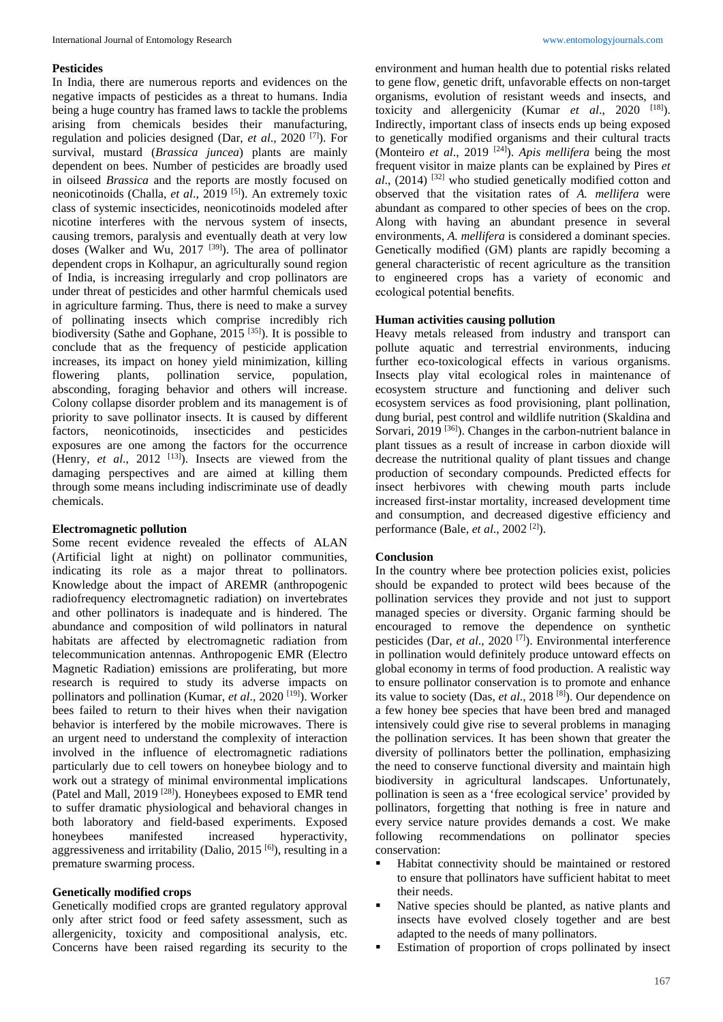### **Pesticides**

In India, there are numerous reports and evidences on the negative impacts of pesticides as a threat to humans. India being a huge country has framed laws to tackle the problems arising from chemicals besides their manufacturing, regulation and policies designed (Dar, *et al*., 2020 [7]). For survival, mustard (*Brassica juncea*) plants are mainly dependent on bees. Number of pesticides are broadly used in oilseed *Brassica* and the reports are mostly focused on neonicotinoids (Challa, *et al*., 2019 [5]). An extremely toxic class of systemic insecticides, neonicotinoids modeled after nicotine interferes with the nervous system of insects, causing tremors, paralysis and eventually death at very low doses (Walker and Wu, 2017<sup>[39]</sup>). The area of pollinator dependent crops in Kolhapur, an agriculturally sound region of India, is increasing irregularly and crop pollinators are under threat of pesticides and other harmful chemicals used in agriculture farming. Thus, there is need to make a survey of pollinating insects which comprise incredibly rich biodiversity (Sathe and Gophane, 2015<sup>[35]</sup>). It is possible to conclude that as the frequency of pesticide application increases, its impact on honey yield minimization, killing<br>flowering plants, pollination service, population. flowering plants, pollination service, population, absconding, foraging behavior and others will increase. Colony collapse disorder problem and its management is of priority to save pollinator insects. It is caused by different factors, neonicotinoids, insecticides and pesticides exposures are one among the factors for the occurrence (Henry, *et al.*, 2012<sup>[13]</sup>). Insects are viewed from the damaging perspectives and are aimed at killing them through some means including indiscriminate use of deadly chemicals.

## **Electromagnetic pollution**

Some recent evidence revealed the effects of ALAN (Artificial light at night) on pollinator communities, indicating its role as a major threat to pollinators. Knowledge about the impact of AREMR (anthropogenic radiofrequency electromagnetic radiation) on invertebrates and other pollinators is inadequate and is hindered. The abundance and composition of wild pollinators in natural habitats are affected by electromagnetic radiation from telecommunication antennas. Anthropogenic EMR (Electro Magnetic Radiation) emissions are proliferating, but more research is required to study its adverse impacts on pollinators and pollination (Kumar, *et al.*, 2020<sup>[19]</sup>). Worker bees failed to return to their hives when their navigation behavior is interfered by the mobile microwaves. There is an urgent need to understand the complexity of interaction involved in the influence of electromagnetic radiations particularly due to cell towers on honeybee biology and to work out a strategy of minimal environmental implications (Patel and Mall, 2019 [28]). Honeybees exposed to EMR tend to suffer dramatic physiological and behavioral changes in both laboratory and field-based experiments. Exposed honeybees manifested increased hyperactivity, aggressiveness and irritability (Dalio,  $2015$ <sup>[6]</sup>), resulting in a premature swarming process.

#### **Genetically modified crops**

Genetically modified crops are granted regulatory approval only after strict food or feed safety assessment, such as allergenicity, toxicity and compositional analysis, etc. Concerns have been raised regarding its security to the environment and human health due to potential risks related to gene flow, genetic drift, unfavorable effects on non-target organisms, evolution of resistant weeds and insects, and toxicity and allergenicity (Kumar *et al.*, 2020 <sup>[18]</sup>). Indirectly, important class of insects ends up being exposed to genetically modified organisms and their cultural tracts (Monteiro *et al*., 2019 [24]). *Apis mellifera* being the most frequent visitor in maize plants can be explained by Pires *et al*., (2014) [32] who studied genetically modified cotton and observed that the visitation rates of *A. mellifera* were abundant as compared to other species of bees on the crop. Along with having an abundant presence in several environments, *A. mellifera* is considered a dominant species. Genetically modified (GM) plants are rapidly becoming a general characteristic of recent agriculture as the transition to engineered crops has a variety of economic and ecological potential benefits.

### **Human activities causing pollution**

Heavy metals released from industry and transport can pollute aquatic and terrestrial environments, inducing further eco-toxicological effects in various organisms. Insects play vital ecological roles in maintenance of ecosystem structure and functioning and deliver such ecosystem services as food provisioning, plant pollination, dung burial, pest control and wildlife nutrition (Skaldina and Sorvari,  $2019^{[36]}$ . Changes in the carbon-nutrient balance in plant tissues as a result of increase in carbon dioxide will decrease the nutritional quality of plant tissues and change production of secondary compounds. Predicted effects for insect herbivores with chewing mouth parts include increased first-instar mortality, increased development time and consumption, and decreased digestive efficiency and performance (Bale, *et al*., 2002 [2]).

#### **Conclusion**

In the country where bee protection policies exist, policies should be expanded to protect wild bees because of the pollination services they provide and not just to support managed species or diversity. Organic farming should be encouraged to remove the dependence on synthetic pesticides (Dar, *et al*., 2020 [7]). Environmental interference in pollination would definitely produce untoward effects on global economy in terms of food production. A realistic way to ensure pollinator conservation is to promote and enhance its value to society (Das, *et al*., 2018 [8]). Our dependence on a few honey bee species that have been bred and managed intensively could give rise to several problems in managing the pollination services. It has been shown that greater the diversity of pollinators better the pollination, emphasizing the need to conserve functional diversity and maintain high biodiversity in agricultural landscapes. Unfortunately, pollination is seen as a 'free ecological service' provided by pollinators, forgetting that nothing is free in nature and every service nature provides demands a cost. We make following recommendations on pollinator species conservation:

- Habitat connectivity should be maintained or restored to ensure that pollinators have sufficient habitat to meet their needs.
- Native species should be planted, as native plants and insects have evolved closely together and are best adapted to the needs of many pollinators.
- Estimation of proportion of crops pollinated by insect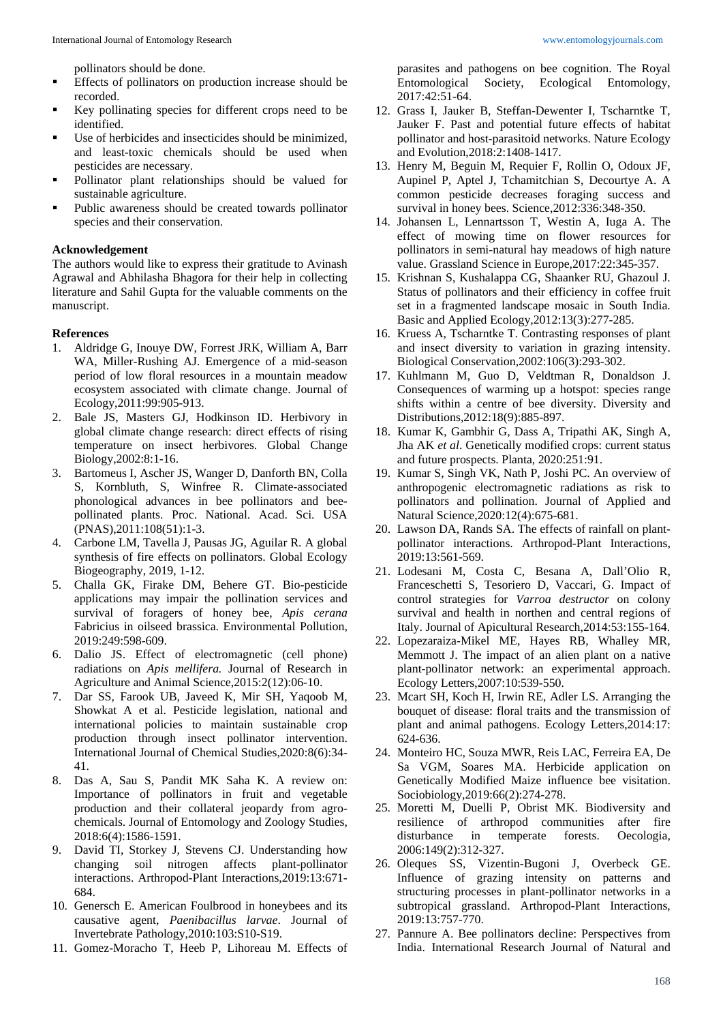pollinators should be done.

- Effects of pollinators on production increase should be recorded.
- Key pollinating species for different crops need to be identified.
- Use of herbicides and insecticides should be minimized, and least-toxic chemicals should be used when pesticides are necessary.
- Pollinator plant relationships should be valued for sustainable agriculture.
- Public awareness should be created towards pollinator species and their conservation.

#### **Acknowledgement**

The authors would like to express their gratitude to Avinash Agrawal and Abhilasha Bhagora for their help in collecting literature and Sahil Gupta for the valuable comments on the manuscript.

### **References**

- 1. Aldridge G, Inouye DW, Forrest JRK, William A, Barr WA, Miller-Rushing AJ. Emergence of a mid-season period of low floral resources in a mountain meadow ecosystem associated with climate change. Journal of Ecology,2011:99:905-913.
- 2. Bale JS, Masters GJ, Hodkinson ID. Herbivory in global climate change research: direct effects of rising temperature on insect herbivores. Global Change Biology,2002:8:1-16.
- 3. Bartomeus I, Ascher JS, Wanger D, Danforth BN, Colla S, Kornbluth, S, Winfree R. Climate-associated phonological advances in bee pollinators and beepollinated plants. Proc. National. Acad. Sci. USA (PNAS),2011:108(51):1-3.
- 4. Carbone LM, Tavella J, Pausas JG, Aguilar R. A global synthesis of fire effects on pollinators. Global Ecology Biogeography, 2019, 1-12.
- 5. Challa GK, Firake DM, Behere GT. Bio-pesticide applications may impair the pollination services and survival of foragers of honey bee, *Apis cerana* Fabricius in oilseed brassica. Environmental Pollution, 2019:249:598-609.
- 6. Dalio JS. Effect of electromagnetic (cell phone) radiations on *Apis mellifera.* Journal of Research in Agriculture and Animal Science,2015:2(12):06-10.
- 7. Dar SS, Farook UB, Javeed K, Mir SH, Yaqoob M, Showkat A et al. Pesticide legislation, national and international policies to maintain sustainable crop production through insect pollinator intervention. International Journal of Chemical Studies,2020:8(6):34- 41.
- 8. Das A, Sau S, Pandit MK Saha K. A review on: Importance of pollinators in fruit and vegetable production and their collateral jeopardy from agrochemicals. Journal of Entomology and Zoology Studies, 2018:6(4):1586-1591.
- 9. David TI, Storkey J, Stevens CJ. Understanding how changing soil nitrogen affects plant-pollinator interactions. Arthropod-Plant Interactions,2019:13:671- 684.
- 10. Genersch E. American Foulbrood in honeybees and its causative agent, *Paenibacillus larvae*. Journal of Invertebrate Pathology,2010:103:S10-S19.
- 11. Gomez-Moracho T, Heeb P, Lihoreau M. Effects of

parasites and pathogens on bee cognition. The Royal Entomological Society, Ecological Entomology, 2017:42:51-64.

- 12. Grass I, Jauker B, Steffan-Dewenter I, Tscharntke T, Jauker F. Past and potential future effects of habitat pollinator and host-parasitoid networks. Nature Ecology and Evolution,2018:2:1408-1417.
- 13. Henry M, Beguin M, Requier F, Rollin O, Odoux JF, Aupinel P, Aptel J, Tchamitchian S, Decourtye A. A common pesticide decreases foraging success and survival in honey bees. Science,2012:336:348-350.
- 14. Johansen L, Lennartsson T, Westin A, Iuga A. The effect of mowing time on flower resources for pollinators in semi-natural hay meadows of high nature value. Grassland Science in Europe,2017:22:345-357.
- 15. Krishnan S, Kushalappa CG, Shaanker RU, Ghazoul J. Status of pollinators and their efficiency in coffee fruit set in a fragmented landscape mosaic in South India. Basic and Applied Ecology,2012:13(3):277-285.
- 16. Kruess A, Tscharntke T. Contrasting responses of plant and insect diversity to variation in grazing intensity. Biological Conservation,2002:106(3):293-302.
- 17. Kuhlmann M, Guo D, Veldtman R, Donaldson J. Consequences of warming up a hotspot: species range shifts within a centre of bee diversity. Diversity and Distributions,2012:18(9):885-897.
- 18. Kumar K, Gambhir G, Dass A, Tripathi AK, Singh A, Jha AK *et al*. Genetically modified crops: current status and future prospects. Planta, 2020:251:91.
- 19. Kumar S, Singh VK, Nath P, Joshi PC. An overview of anthropogenic electromagnetic radiations as risk to pollinators and pollination. Journal of Applied and Natural Science,2020:12(4):675-681.
- 20. Lawson DA, Rands SA. The effects of rainfall on plantpollinator interactions. Arthropod-Plant Interactions, 2019:13:561-569.
- 21. Lodesani M, Costa C, Besana A, Dall'Olio R, Franceschetti S, Tesoriero D, Vaccari, G. Impact of control strategies for *Varroa destructor* on colony survival and health in northen and central regions of Italy. Journal of Apicultural Research,2014:53:155-164.
- 22. Lopezaraiza-Mikel ME, Hayes RB, Whalley MR, Memmott J. The impact of an alien plant on a native plant-pollinator network: an experimental approach. Ecology Letters,2007:10:539-550.
- 23. Mcart SH, Koch H, Irwin RE, Adler LS. Arranging the bouquet of disease: floral traits and the transmission of plant and animal pathogens. Ecology Letters,2014:17: 624-636.
- 24. Monteiro HC, Souza MWR, Reis LAC, Ferreira EA, De Sa VGM, Soares MA. Herbicide application on Genetically Modified Maize influence bee visitation. Sociobiology,2019:66(2):274-278.
- 25. Moretti M, Duelli P, Obrist MK. Biodiversity and resilience of arthropod communities after fire disturbance in temperate forests. Oecologia, 2006:149(2):312-327.
- 26. Oleques SS, Vizentin-Bugoni J, Overbeck GE. Influence of grazing intensity on patterns and structuring processes in plant-pollinator networks in a subtropical grassland. Arthropod-Plant Interactions, 2019:13:757-770.
- 27. Pannure A. Bee pollinators decline: Perspectives from India. International Research Journal of Natural and